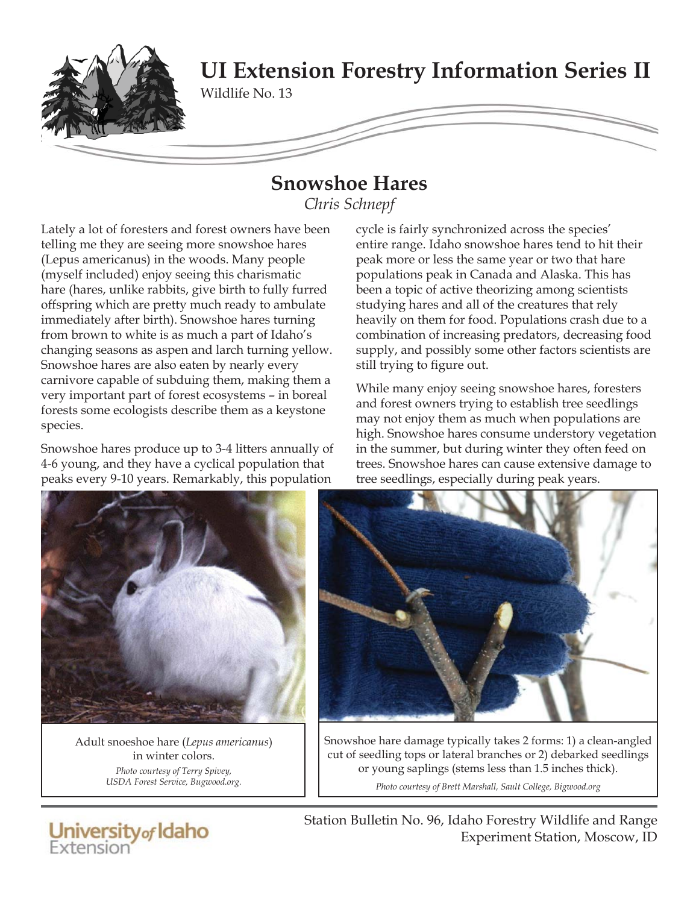

## **Snowshoe Hares**

*Chris Schnepf*

Lately a lot of foresters and forest owners have been telling me they are seeing more snowshoe hares (Lepus americanus) in the woods. Many people (myself included) enjoy seeing this charismatic hare (hares, unlike rabbits, give birth to fully furred offspring which are pretty much ready to ambulate immediately after birth). Snowshoe hares turning from brown to white is as much a part of Idaho's changing seasons as aspen and larch turning yellow. Snowshoe hares are also eaten by nearly every carnivore capable of subduing them, making them a very important part of forest ecosystems – in boreal forests some ecologists describe them as a keystone species.

Snowshoe hares produce up to 3-4 litters annually of 4-6 young, and they have a cyclical population that peaks every 9-10 years. Remarkably, this population

cycle is fairly synchronized across the species' entire range. Idaho snowshoe hares tend to hit their peak more or less the same year or two that hare populations peak in Canada and Alaska. This has been a topic of active theorizing among scientists studying hares and all of the creatures that rely heavily on them for food. Populations crash due to a combination of increasing predators, decreasing food supply, and possibly some other factors scientists are still trying to figure out.

While many enjoy seeing snowshoe hares, foresters and forest owners trying to establish tree seedlings may not enjoy them as much when populations are high. Snowshoe hares consume understory vegetation in the summer, but during winter they often feed on trees. Snowshoe hares can cause extensive damage to tree seedlings, especially during peak years.



Adult snoeshoe hare (*Lepus americanus*) in winter colors. *Photo courtesy of Terry Spivey, USDA Forest Service, Bugwood.org.*

University of Idaho



Snowshoe hare damage typically takes 2 forms: 1) a clean-angled cut of seedling tops or lateral branches or 2) debarked seedlings or young saplings (stems less than 1.5 inches thick).

*Photo courtesy of Brett Marshall, Sault College, Bigwood.org*

Station Bulletin No. 96, Idaho Forestry Wildlife and Range Experiment Station, Moscow, ID